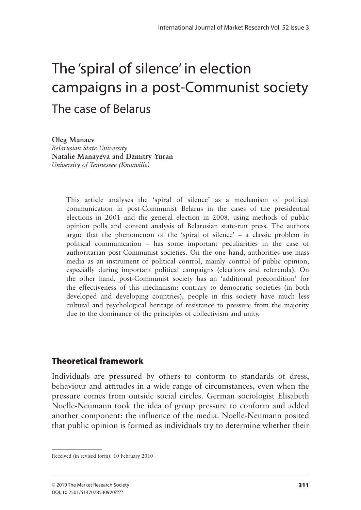# The 'spiral of silence' in election campaigns in a post-Communist society The case of Belarus

**Oleg Manaev** *Belarusian State University* **Natalie Manayeva** and **Dzmitry Yuran** *University of Tennessee (Knoxville)*

> This article analyses the 'spiral of silence' as a mechanism of political communication in post-Communist Belarus in the cases of the presidential elections in 2001 and the general election in 2008, using methods of public opinion polls and content analysis of Belarusian state-run press. The authors argue that the phenomenon of the 'spiral of silence' – a classic problem in political communication – has some important peculiarities in the case of authoritarian post-Communist societies. On the one hand, authorities use mass media as an instrument of political control, mainly control of public opinion, especially during important political campaigns (elections and referenda). On the other hand, post-Communist society has an 'additional precondition' for the effectiveness of this mechanism: contrary to democratic societies (in both developed and developing countries), people in this society have much less cultural and psychological heritage of resistance to pressure from the majority due to the dominance of the principles of collectivism and unity.

# Theoretical framework

Individuals are pressured by others to conform to standards of dress, behaviour and attitudes in a wide range of circumstances, even when the pressure comes from outside social circles. German sociologist Elisabeth Noelle-Neumann took the idea of group pressure to conform and added another component: the influence of the media. Noelle-Neumann posited that public opinion is formed as individuals try to determine whether their

Received (in revised form): 10 February 2010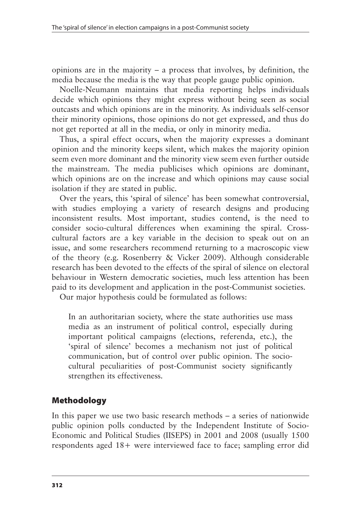opinions are in the majority – a process that involves, by definition, the media because the media is the way that people gauge public opinion.

Noelle-Neumann maintains that media reporting helps individuals decide which opinions they might express without being seen as social outcasts and which opinions are in the minority. As individuals self-censor their minority opinions, those opinions do not get expressed, and thus do not get reported at all in the media, or only in minority media.

Thus, a spiral effect occurs, when the majority expresses a dominant opinion and the minority keeps silent, which makes the majority opinion seem even more dominant and the minority view seem even further outside the mainstream. The media publicises which opinions are dominant, which opinions are on the increase and which opinions may cause social isolation if they are stated in public.

Over the years, this 'spiral of silence' has been somewhat controversial, with studies employing a variety of research designs and producing inconsistent results. Most important, studies contend, is the need to consider socio-cultural differences when examining the spiral. Crosscultural factors are a key variable in the decision to speak out on an issue, and some researchers recommend returning to a macroscopic view of the theory (e.g. Rosenberry & Vicker 2009). Although considerable research has been devoted to the effects of the spiral of silence on electoral behaviour in Western democratic societies, much less attention has been paid to its development and application in the post-Communist societies.

Our major hypothesis could be formulated as follows:

In an authoritarian society, where the state authorities use mass media as an instrument of political control, especially during important political campaigns (elections, referenda, etc.), the 'spiral of silence' becomes a mechanism not just of political communication, but of control over public opinion. The sociocultural peculiarities of post-Communist society significantly strengthen its effectiveness.

# Methodology

In this paper we use two basic research methods – a series of nationwide public opinion polls conducted by the Independent Institute of Socio-Economic and Political Studies (IISEPS) in 2001 and 2008 (usually 1500 respondents aged 18+ were interviewed face to face; sampling error did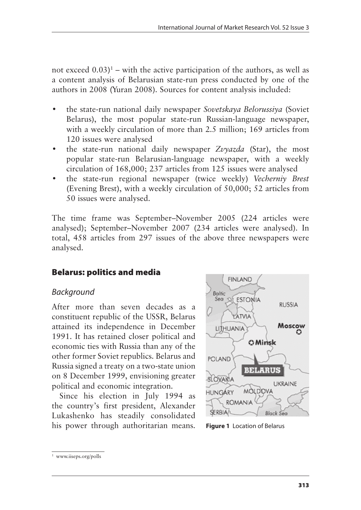not exceed  $(0.03)^1$  – with the active participation of the authors, as well as a content analysis of Belarusian state-run press conducted by one of the authors in 2008 (Yuran 2008). Sources for content analysis included:

- the state-run national daily newspaper *Sovetskaya Belorussiya* (Soviet Belarus), the most popular state-run Russian-language newspaper, with a weekly circulation of more than 2.5 million; 169 articles from 120 issues were analysed
- the state-run national daily newspaper *Zvyazda* (Star), the most popular state-run Belarusian-language newspaper, with a weekly circulation of 168,000; 237 articles from 125 issues were analysed
- the state-run regional newspaper (twice weekly) *Vecherniy Brest*  (Evening Brest), with a weekly circulation of 50,000; 52 articles from 50 issues were analysed.

The time frame was September–November 2005 (224 articles were analysed); September–November 2007 (234 articles were analysed). In total, 458 articles from 297 issues of the above three newspapers were analysed.

### Belarus: politics and media

#### *Background*

After more than seven decades as a constituent republic of the USSR, Belarus attained its independence in December 1991. It has retained closer political and economic ties with Russia than any of the other former Soviet republics. Belarus and Russia signed a treaty on a two-state union on 8 December 1999, envisioning greater political and economic integration.

Since his election in July 1994 as the country's first president, Alexander Lukashenko has steadily consolidated his power through authoritarian means.



**Figure 1** Location of Belarus

<sup>1</sup> www.iiseps.org/polls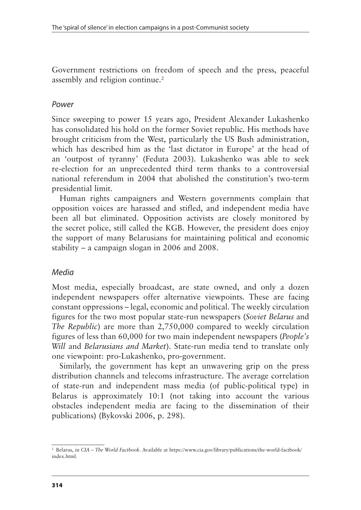Government restrictions on freedom of speech and the press, peaceful assembly and religion continue.<sup>2</sup>

#### *Power*

Since sweeping to power 15 years ago, President Alexander Lukashenko has consolidated his hold on the former Soviet republic. His methods have brought criticism from the West, particularly the US Bush administration, which has described him as the 'last dictator in Europe' at the head of an 'outpost of tyranny' (Feduta 2003). Lukashenko was able to seek re-election for an unprecedented third term thanks to a controversial national referendum in 2004 that abolished the constitution's two-term presidential limit.

Human rights campaigners and Western governments complain that opposition voices are harassed and stifled, and independent media have been all but eliminated. Opposition activists are closely monitored by the secret police, still called the KGB. However, the president does enjoy the support of many Belarusians for maintaining political and economic stability – a campaign slogan in 2006 and 2008.

#### *Media*

Most media, especially broadcast, are state owned, and only a dozen independent newspapers offer alternative viewpoints. These are facing constant oppressions – legal, economic and political. The weekly circulation figures for the two most popular state-run newspapers (*Soviet Belarus* and *The Republic*) are more than 2,750,000 compared to weekly circulation figures of less than 60,000 for two main independent newspapers (*People's Will* and *Belarusians and Market*). State-run media tend to translate only one viewpoint: pro-Lukashenko, pro-government.

Similarly, the government has kept an unwavering grip on the press distribution channels and telecoms infrastructure. The average correlation of state-run and independent mass media (of public-political type) in Belarus is approximately 10:1 (not taking into account the various obstacles independent media are facing to the dissemination of their publications) (Bykovski 2006, p. 298).

<sup>&</sup>lt;sup>2</sup> Belarus, in *CIA – The World Factbook*. Available at https://www.cia.gov/library/publications/the-world-factbook/ index.html.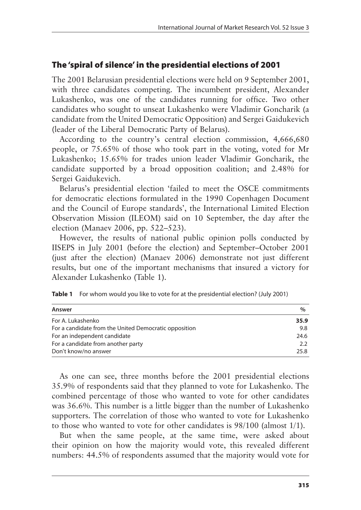### The 'spiral of silence' in the presidential elections of 2001

The 2001 Belarusian presidential elections were held on 9 September 2001, with three candidates competing. The incumbent president, Alexander Lukashenko, was one of the candidates running for office. Two other candidates who sought to unseat Lukashenko were Vladimir Goncharik (a candidate from the United Democratic Opposition) and Sergei Gaidukevich (leader of the Liberal Democratic Party of Belarus).

According to the country's central election commission, 4,666,680 people, or 75.65% of those who took part in the voting, voted for Mr Lukashenko; 15.65% for trades union leader Vladimir Goncharik, the candidate supported by a broad opposition coalition; and 2.48% for Sergei Gaidukevich.

Belarus's presidential election 'failed to meet the OSCE commitments for democratic elections formulated in the 1990 Copenhagen Document and the Council of Europe standards', the International Limited Election Observation Mission (ILEOM) said on 10 September, the day after the election (Manaev 2006, pp. 522–523).

However, the results of national public opinion polls conducted by IISEPS in July 2001 (before the election) and September–October 2001 (just after the election) (Manaev 2006) demonstrate not just different results, but one of the important mechanisms that insured a victory for Alexander Lukashenko (Table 1).

| Answer                                                | $\frac{0}{0}$ |
|-------------------------------------------------------|---------------|
| For A. Lukashenko                                     | 35.9          |
| For a candidate from the United Democratic opposition | 9.8           |
| For an independent candidate                          | 24.6          |
| For a candidate from another party                    | 2.2           |
| Don't know/no answer                                  | 25.8          |

As one can see, three months before the 2001 presidential elections 35.9% of respondents said that they planned to vote for Lukashenko. The combined percentage of those who wanted to vote for other candidates was 36.6%. This number is a little bigger than the number of Lukashenko supporters. The correlation of those who wanted to vote for Lukashenko to those who wanted to vote for other candidates is 98/100 (almost 1/1).

But when the same people, at the same time, were asked about their opinion on how the majority would vote, this revealed different numbers: 44.5% of respondents assumed that the majority would vote for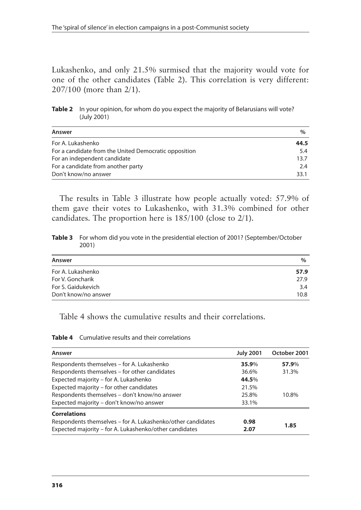Lukashenko, and only 21.5% surmised that the majority would vote for one of the other candidates (Table 2). This correlation is very different: 207/100 (more than 2/1).

Table 2 In your opinion, for whom do you expect the majority of Belarusians will vote? (July 2001)

| Answer                                                | $\%$ |
|-------------------------------------------------------|------|
| For A. Lukashenko                                     | 44.5 |
| For a candidate from the United Democratic opposition | 5.4  |
| For an independent candidate                          | 13.7 |
| For a candidate from another party                    | 2.4  |
| Don't know/no answer                                  | 33.1 |

The results in Table 3 illustrate how people actually voted: 57.9% of them gave their votes to Lukashenko, with 31.3% combined for other candidates. The proportion here is 185/100 (close to 2/1).

**Table 3** For whom did you vote in the presidential election of 2001? (September/October 2001)

| Answer               | $\%$ |
|----------------------|------|
| For A. Lukashenko    | 57.9 |
| For V. Goncharik     | 27.9 |
| For S. Gaidukevich   | 3.4  |
| Don't know/no answer | 10.8 |

Table 4 shows the cumulative results and their correlations.

**Table 4** Cumulative results and their correlations

| Answer                                                                                                                | <b>July 2001</b> | October 2001 |
|-----------------------------------------------------------------------------------------------------------------------|------------------|--------------|
| Respondents themselves – for A. Lukashenko                                                                            | 35.9%            | 57.9%        |
| Respondents themselves - for other candidates                                                                         | 36.6%            | 31.3%        |
| Expected majority - for A. Lukashenko                                                                                 | 44.5%            |              |
| Expected majority - for other candidates                                                                              | 21.5%            |              |
| Respondents themselves - don't know/no answer                                                                         | 25.8%            | 10.8%        |
| Expected majority - don't know/no answer                                                                              | 33.1%            |              |
| <b>Correlations</b>                                                                                                   |                  |              |
| Respondents themselves – for A. Lukashenko/other candidates<br>Expected majority - for A. Lukashenko/other candidates | 0.98<br>2.07     | 1.85         |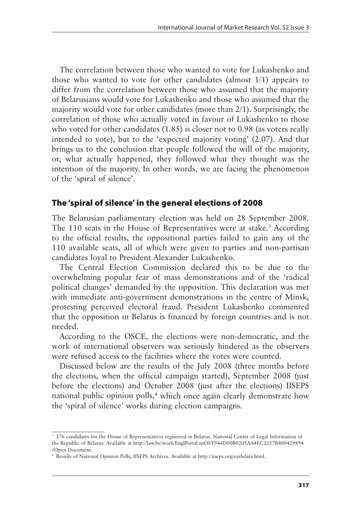The correlation between those who wanted to vote for Lukashenko and those who wanted to vote for other candidates (almost 1/1) appears to differ from the correlation between those who assumed that the majority of Belarusians would vote for Lukashenko and those who assumed that the majority would vote for other candidates (more than 2/1). Surprisingly, the correlation of those who actually voted in favour of Lukashenko to those who voted for other candidates (1.85) is closer not to 0.98 (as voters really intended to vote), but to the 'expected majority voting' (2.07). And that brings us to the conclusion that people followed the will of the majority, or, what actually happened, they followed what they thought was the intention of the majority. In other words, we are facing the phenomenon of the 'spiral of silence'.

#### The 'spiral of silence' in the general elections of 2008

The Belarusian parliamentary election was held on 28 September 2008. The 110 seats in the House of Representatives were at stake.<sup>3</sup> According to the official results, the oppositional parties failed to gain any of the 110 available seats, all of which were given to parties and non-partisan candidates loyal to President Alexander Lukashenko.

The Central Election Commission declared this to be due to the overwhelming popular fear of mass demonstrations and of the 'radical political changes' demanded by the opposition. This declaration was met with immediate anti-government demonstrations in the centre of Minsk, protesting perceived electoral fraud. President Lukashenko commented that the opposition in Belarus is financed by foreign countries and is not needed.

According to the OSCE, the elections were non-democratic, and the work of international observers was seriously hindered as the observers were refused access to the facilities where the votes were counted.

Discussed below are the results of the July 2008 (three months before the elections, when the official campaign started), September 2008 (just before the elections) and October 2008 (just after the elections) IISEPS national public opinion polls,<sup>4</sup> which once again clearly demonstrate how the 'spiral of silence' works during election campaigns.

<sup>&</sup>lt;sup>3</sup> 276 candidates for the House of Representatives registered in Belarus. National Center of Legal Information of the Republic of Belarus. Available at http://law.by/work/EnglPortal.nsf/0/F944D00B0205AA4EC2257B400429894 ?Open Document.

<sup>4</sup> Results of National Opinion Polls, IISEPS Archives. Available at http://iiseps.org/earhdata.html.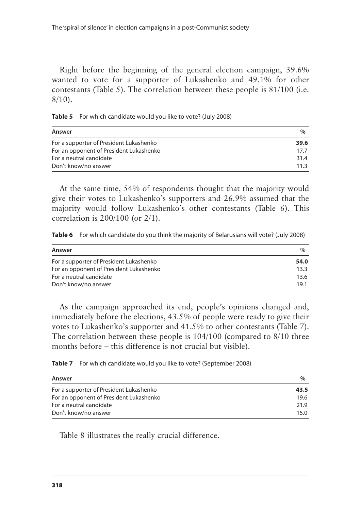Right before the beginning of the general election campaign, 39.6% wanted to vote for a supporter of Lukashenko and 49.1% for other contestants (Table 5). The correlation between these people is 81/100 (i.e.  $8/10$ ).

**Table 5** For which candidate would you like to vote? (July 2008)

| Answer                                  | $\%$ |
|-----------------------------------------|------|
| For a supporter of President Lukashenko | 39.6 |
| For an opponent of President Lukashenko | 17.7 |
| For a neutral candidate                 | 31.4 |
| Don't know/no answer                    | 11.3 |

At the same time, 54% of respondents thought that the majority would give their votes to Lukashenko's supporters and 26.9% assumed that the majority would follow Lukashenko's other contestants (Table 6). This correlation is 200/100 (or 2/1).

**Table 6** For which candidate do you think the majority of Belarusians will vote? (July 2008)

| Answer                                  | $\%$ |
|-----------------------------------------|------|
| For a supporter of President Lukashenko | 54.0 |
| For an opponent of President Lukashenko | 13.3 |
| For a neutral candidate                 | 13.6 |
| Don't know/no answer                    | 19.1 |

As the campaign approached its end, people's opinions changed and, immediately before the elections, 43.5% of people were ready to give their votes to Lukashenko's supporter and 41.5% to other contestants (Table 7). The correlation between these people is 104/100 (compared to 8/10 three months before – this difference is not crucial but visible).

**Table 7** For which candidate would you like to vote? (September 2008)

| Answer                                  | $\%$ |
|-----------------------------------------|------|
| For a supporter of President Lukashenko | 43.5 |
| For an opponent of President Lukashenko | 19.6 |
| For a neutral candidate                 | 21.9 |
| Don't know/no answer                    | 15.0 |

Table 8 illustrates the really crucial difference.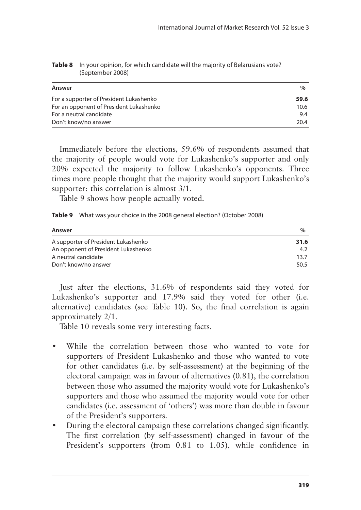| Answer                                  | $\%$ |
|-----------------------------------------|------|
| For a supporter of President Lukashenko | 59.6 |
| For an opponent of President Lukashenko | 10.6 |
| For a neutral candidate                 | 9.4  |
| Don't know/no answer                    | 20.4 |

**Table 8** In your opinion, for which candidate will the majority of Belarusians vote? (September 2008)

Immediately before the elections, 59.6% of respondents assumed that the majority of people would vote for Lukashenko's supporter and only 20% expected the majority to follow Lukashenko's opponents. Three times more people thought that the majority would support Lukashenko's supporter: this correlation is almost  $3/1$ .

Table 9 shows how people actually voted.

**Table 9** What was your choice in the 2008 general election? (October 2008)

| Answer                              |      |
|-------------------------------------|------|
| A supporter of President Lukashenko | 31.6 |
| An opponent of President Lukashenko | 4.2  |
| A neutral candidate                 | 13.7 |
| Don't know/no answer                | 50.5 |

Just after the elections, 31.6% of respondents said they voted for Lukashenko's supporter and 17.9% said they voted for other (i.e. alternative) candidates (see Table 10). So, the final correlation is again approximately 2/1.

Table 10 reveals some very interesting facts.

- While the correlation between those who wanted to vote for supporters of President Lukashenko and those who wanted to vote for other candidates (i.e. by self-assessment) at the beginning of the electoral campaign was in favour of alternatives (0.81), the correlation between those who assumed the majority would vote for Lukashenko's supporters and those who assumed the majority would vote for other candidates (i.e. assessment of 'others') was more than double in favour of the President's supporters.
- During the electoral campaign these correlations changed significantly. The first correlation (by self-assessment) changed in favour of the President's supporters (from 0.81 to 1.05), while confidence in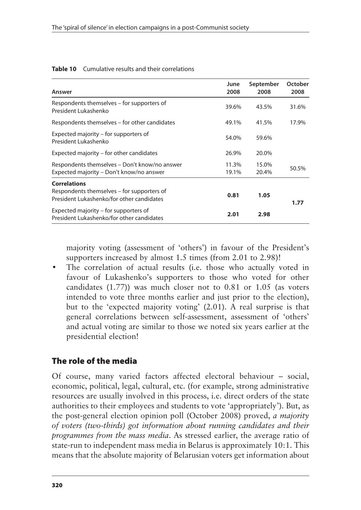| Answer                                                                                                         | June<br>2008   | September<br>2008 | October<br>2008 |
|----------------------------------------------------------------------------------------------------------------|----------------|-------------------|-----------------|
| Respondents themselves – for supporters of<br>President Lukashenko                                             | 39.6%          | 43.5%             | 31.6%           |
| Respondents themselves – for other candidates                                                                  | 49.1%          | 41.5%             | 17.9%           |
| Expected majority – for supporters of<br>President Lukashenko                                                  | 54.0%          | 59.6%             |                 |
| Expected majority – for other candidates                                                                       | 26.9%          | 20.0%             |                 |
| Respondents themselves - Don't know/no answer<br>Expected majority - Don't know/no answer                      | 11.3%<br>19.1% | 15.0%<br>20.4%    | 50.5%           |
| <b>Correlations</b><br>Respondents themselves - for supporters of<br>President Lukashenko/for other candidates | 0.81           | 1.05              | 1.77            |
| Expected majority – for supporters of<br>President Lukashenko/for other candidates                             | 2.01           | 2.98              |                 |

#### **Table 10** Cumulative results and their correlations

majority voting (assessment of 'others') in favour of the President's supporters increased by almost 1.5 times (from 2.01 to 2.98)!

• The correlation of actual results (i.e. those who actually voted in favour of Lukashenko's supporters to those who voted for other candidates (1.77)) was much closer not to 0.81 or 1.05 (as voters intended to vote three months earlier and just prior to the election), but to the 'expected majority voting' (2.01). A real surprise is that general correlations between self-assessment, assessment of 'others' and actual voting are similar to those we noted six years earlier at the presidential election!

#### The role of the media

Of course, many varied factors affected electoral behaviour – social, economic, political, legal, cultural, etc. (for example, strong administrative resources are usually involved in this process, i.e. direct orders of the state authorities to their employees and students to vote 'appropriately'). But, as the post-general election opinion poll (October 2008) proved, *a majority of voters (two-thirds) got information about running candidates and their programmes from the mass media*. As stressed earlier, the average ratio of state-run to independent mass media in Belarus is approximately 10:1. This means that the absolute majority of Belarusian voters get information about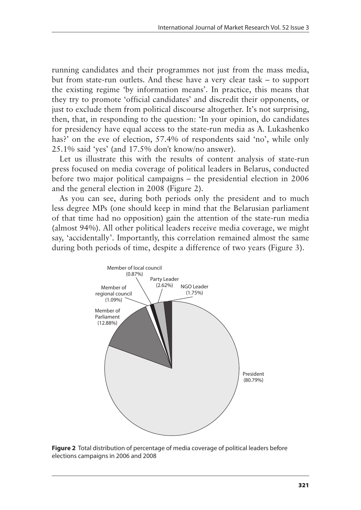running candidates and their programmes not just from the mass media, but from state-run outlets. And these have a very clear task – to support the existing regime 'by information means'. In practice, this means that they try to promote 'official candidates' and discredit their opponents, or just to exclude them from political discourse altogether. It's not surprising, then, that, in responding to the question: 'In your opinion, do candidates for presidency have equal access to the state-run media as A. Lukashenko has?' on the eve of election, 57.4% of respondents said 'no', while only 25.1% said 'yes' (and 17.5% don't know/no answer).

Let us illustrate this with the results of content analysis of state-run press focused on media coverage of political leaders in Belarus, conducted before two major political campaigns – the presidential election in 2006 and the general election in 2008 (Figure 2).

As you can see, during both periods only the president and to much less degree MPs (one should keep in mind that the Belarusian parliament of that time had no opposition) gain the attention of the state-run media (almost 94%). All other political leaders receive media coverage, we might say, 'accidentally'. Importantly, this correlation remained almost the same during both periods of time, despite a difference of two years (Figure 3).



**Figure 2** Total distribution of percentage of media coverage of political leaders before elections campaigns in 2006 and 2008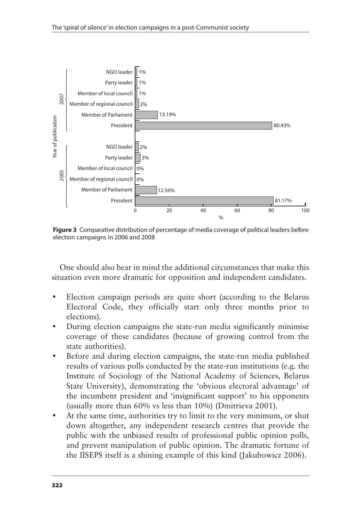

**Figure 3** Comparative distribution of percentage of media coverage of political leaders before election campaigns in 2006 and 2008

One should also bear in mind the additional circumstances that make this situation even more dramatic for opposition and independent candidates.

- Election campaign periods are quite short (according to the Belarus Electoral Code, they officially start only three months prior to elections).
- During election campaigns the state-run media significantly minimise coverage of these candidates (because of growing control from the state authorities).
- Before and during election campaigns, the state-run media published results of various polls conducted by the state-run institutions (e.g. the Institute of Sociology of the National Academy of Sciences, Belarus State University), demonstrating the 'obvious electoral advantage' of the incumbent president and 'insignificant support' to his opponents (usually more than 60% vs less than 10%) (Dmitrieva 2001).
- At the same time, authorities try to limit to the very minimum, or shut down altogether, any independent research centres that provide the public with the unbiased results of professional public opinion polls, and prevent manipulation of public opinion. The dramatic fortune of the IISEPS itself is a shining example of this kind (Jakubowicz 2006).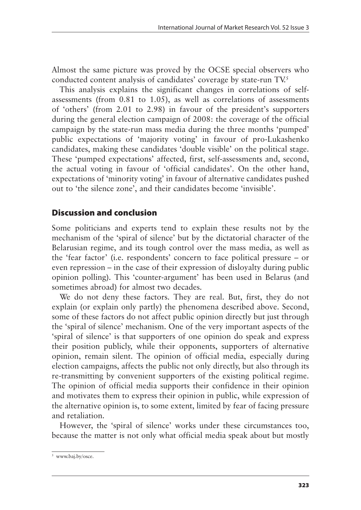Almost the same picture was proved by the OCSE special observers who conducted content analysis of candidates' coverage by state-run TV.<sup>5</sup>

This analysis explains the significant changes in correlations of selfassessments (from 0.81 to 1.05), as well as correlations of assessments of 'others' (from 2.01 to 2.98) in favour of the president's supporters during the general election campaign of 2008: the coverage of the official campaign by the state-run mass media during the three months 'pumped' public expectations of 'majority voting' in favour of pro-Lukashenko candidates, making these candidates 'double visible' on the political stage. These 'pumped expectations' affected, first, self-assessments and, second, the actual voting in favour of 'official candidates'. On the other hand, expectations of 'minority voting' in favour of alternative candidates pushed out to 'the silence zone', and their candidates become 'invisible'.

### Discussion and conclusion

Some politicians and experts tend to explain these results not by the mechanism of the 'spiral of silence' but by the dictatorial character of the Belarusian regime, and its tough control over the mass media, as well as the 'fear factor' (i.e. respondents' concern to face political pressure – or even repression – in the case of their expression of disloyalty during public opinion polling). This 'counter-argument' has been used in Belarus (and sometimes abroad) for almost two decades.

We do not deny these factors. They are real. But, first, they do not explain (or explain only partly) the phenomena described above. Second, some of these factors do not affect public opinion directly but just through the 'spiral of silence' mechanism. One of the very important aspects of the 'spiral of silence' is that supporters of one opinion do speak and express their position publicly, while their opponents, supporters of alternative opinion, remain silent. The opinion of official media, especially during election campaigns, affects the public not only directly, but also through its re-transmitting by convenient supporters of the existing political regime. The opinion of official media supports their confidence in their opinion and motivates them to express their opinion in public, while expression of the alternative opinion is, to some extent, limited by fear of facing pressure and retaliation.

However, the 'spiral of silence' works under these circumstances too, because the matter is not only what official media speak about but mostly

<sup>5</sup> www.baj.by/osce.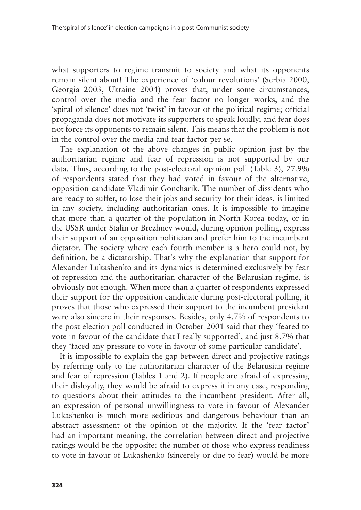what supporters to regime transmit to society and what its opponents remain silent about! The experience of 'colour revolutions' (Serbia 2000, Georgia 2003, Ukraine 2004) proves that, under some circumstances, control over the media and the fear factor no longer works, and the 'spiral of silence' does not 'twist' in favour of the political regime; official propaganda does not motivate its supporters to speak loudly; and fear does not force its opponents to remain silent. This means that the problem is not in the control over the media and fear factor per se.

The explanation of the above changes in public opinion just by the authoritarian regime and fear of repression is not supported by our data. Thus, according to the post-electoral opinion poll (Table 3), 27.9% of respondents stated that they had voted in favour of the alternative, opposition candidate Vladimir Goncharik. The number of dissidents who are ready to suffer, to lose their jobs and security for their ideas, is limited in any society, including authoritarian ones. It is impossible to imagine that more than a quarter of the population in North Korea today, or in the USSR under Stalin or Brezhnev would, during opinion polling, express their support of an opposition politician and prefer him to the incumbent dictator. The society where each fourth member is a hero could not, by definition, be a dictatorship. That's why the explanation that support for Alexander Lukashenko and its dynamics is determined exclusively by fear of repression and the authoritarian character of the Belarusian regime, is obviously not enough. When more than a quarter of respondents expressed their support for the opposition candidate during post-electoral polling, it proves that those who expressed their support to the incumbent president were also sincere in their responses. Besides, only 4.7% of respondents to the post-election poll conducted in October 2001 said that they 'feared to vote in favour of the candidate that I really supported', and just 8.7% that they 'faced any pressure to vote in favour of some particular candidate'.

It is impossible to explain the gap between direct and projective ratings by referring only to the authoritarian character of the Belarusian regime and fear of repression (Tables 1 and 2). If people are afraid of expressing their disloyalty, they would be afraid to express it in any case, responding to questions about their attitudes to the incumbent president. After all, an expression of personal unwillingness to vote in favour of Alexander Lukashenko is much more seditious and dangerous behaviour than an abstract assessment of the opinion of the majority. If the 'fear factor' had an important meaning, the correlation between direct and projective ratings would be the opposite: the number of those who express readiness to vote in favour of Lukashenko (sincerely or due to fear) would be more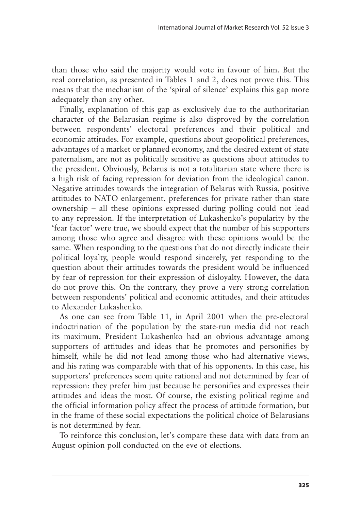than those who said the majority would vote in favour of him. But the real correlation, as presented in Tables 1 and 2, does not prove this. This means that the mechanism of the 'spiral of silence' explains this gap more adequately than any other.

Finally, explanation of this gap as exclusively due to the authoritarian character of the Belarusian regime is also disproved by the correlation between respondents' electoral preferences and their political and economic attitudes. For example, questions about geopolitical preferences, advantages of a market or planned economy, and the desired extent of state paternalism, are not as politically sensitive as questions about attitudes to the president. Obviously, Belarus is not a totalitarian state where there is a high risk of facing repression for deviation from the ideological canon. Negative attitudes towards the integration of Belarus with Russia, positive attitudes to NATO enlargement, preferences for private rather than state ownership – all these opinions expressed during polling could not lead to any repression. If the interpretation of Lukashenko's popularity by the 'fear factor' were true, we should expect that the number of his supporters among those who agree and disagree with these opinions would be the same. When responding to the questions that do not directly indicate their political loyalty, people would respond sincerely, yet responding to the question about their attitudes towards the president would be influenced by fear of repression for their expression of disloyalty. However, the data do not prove this. On the contrary, they prove a very strong correlation between respondents' political and economic attitudes, and their attitudes to Alexander Lukashenko.

As one can see from Table 11, in April 2001 when the pre-electoral indoctrination of the population by the state-run media did not reach its maximum, President Lukashenko had an obvious advantage among supporters of attitudes and ideas that he promotes and personifies by himself, while he did not lead among those who had alternative views, and his rating was comparable with that of his opponents. In this case, his supporters' preferences seem quite rational and not determined by fear of repression: they prefer him just because he personifies and expresses their attitudes and ideas the most. Of course, the existing political regime and the official information policy affect the process of attitude formation, but in the frame of these social expectations the political choice of Belarusians is not determined by fear.

To reinforce this conclusion, let's compare these data with data from an August opinion poll conducted on the eve of elections.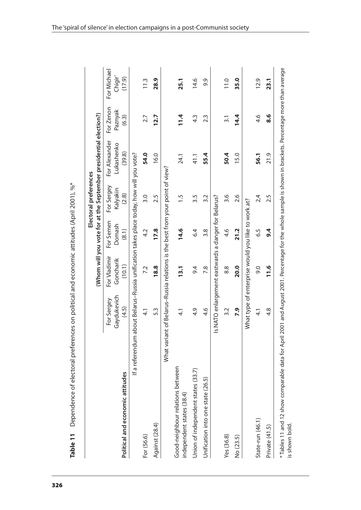| $\overline{a}$                                                      |
|---------------------------------------------------------------------|
|                                                                     |
| $\begin{array}{c} \vdots \\ \vdots \\ \vdots \\ \vdots \end{array}$ |
|                                                                     |
|                                                                     |
|                                                                     |
| $\ddot{\phantom{0}}$                                                |
|                                                                     |
| َ ہ                                                                 |
|                                                                     |
|                                                                     |
| $\frac{1}{2}$                                                       |
| $5 - 6$ and $15 - 6$                                                |
|                                                                     |
|                                                                     |
|                                                                     |
|                                                                     |
|                                                                     |
| ֡֬֝֬֝֬֝֬֝֬֝֬֝֬֝֬֝֬֝֬֝֝֬<br>ׇ֡֬֡                                     |
| ı<br>١                                                              |
| ١                                                                   |
| $\vdots$<br>ī                                                       |
| ı                                                                   |

|                                                               |                                                                                        |                           |                     | Electoral preferences  | (Whom will you vote for at the September presidential election?) |                      |                        |
|---------------------------------------------------------------|----------------------------------------------------------------------------------------|---------------------------|---------------------|------------------------|------------------------------------------------------------------|----------------------|------------------------|
|                                                               | Gaydukevich<br>For Sergey                                                              | For Vladimir<br>Goncharik | For Semen<br>Domash | For Sergey<br>Kalyakin | For Alexander<br>Lukashenko                                      | For Zenon<br>Paznyak | For Michael<br>Chigir' |
| Political and economic attitudes                              | (4.5)                                                                                  | (10.1)                    | (8.1)               | (2.8)                  | (39.8)                                                           | (6.3)                | (17.9)                 |
|                                                               | If a referendum about Belarus-Russia unification takes place today, how will you vote? |                           |                     |                        |                                                                  |                      |                        |
| For (56.6)                                                    | $\frac{1}{4}$                                                                          | 7.2                       | 4.2                 | 3.0                    | 54.0                                                             | 2.7                  | 11.3                   |
| Against (28.4)                                                | 5.3                                                                                    | 18.8                      | 17.8                | 2.5                    | 16.0                                                             | 12.7                 | 28.9                   |
|                                                               | What variant of Belarus-Russia relations is the best from your point of view?          |                           |                     |                        |                                                                  |                      |                        |
| Good-neighbour relations between<br>independent states (38.4) | $\frac{1}{4}$                                                                          | 13.1                      | 14.6                | $\overline{5}$         | 24.1                                                             | 11.4                 | 25.1                   |
| Union of independent states (33.7)                            | 4.9                                                                                    | 9.4                       | 6.4                 | 3.5                    | 41.1                                                             | $4\overline{3}$      | 14.6                   |
| Unification into one state (26.5)                             | 4.6                                                                                    | 7.8                       | 3.8                 | 3.2                    | 55.4                                                             | 2.3                  | 9.9                    |
|                                                               | Is NATO enlargement eastwards a danger for Belarus?                                    |                           |                     |                        |                                                                  |                      |                        |
| Yes (36.8)                                                    | 3.2                                                                                    | 8.8                       | 4.6                 | 3.6                    | 50.4                                                             | $\overline{3}$ .     | $\frac{0}{10}$         |
| No (23.5)                                                     | 7.9                                                                                    | 20.0                      | 21.2                | 2.6                    | 15.0                                                             | 14.4                 | 35.0                   |
|                                                               | What type of enterprise would you like to work at?                                     |                           |                     |                        |                                                                  |                      |                        |
| State-run (46.1)                                              | $\frac{1}{4}$                                                                          | 0.6                       | 6.5                 | 2,4                    | 56.1                                                             | 4.6                  | 12.9                   |
| Private (41.5)                                                | 4.8                                                                                    | 11.6                      | 6.4                 | 2.5                    | 21.9                                                             | 8.6                  | 23.1                   |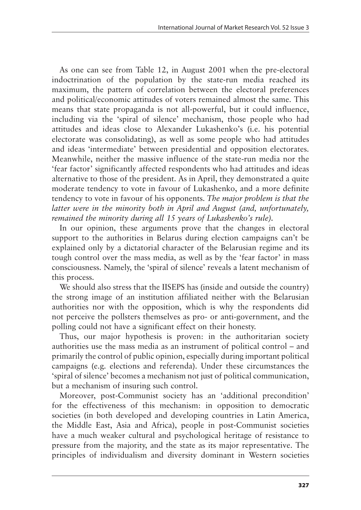As one can see from Table 12, in August 2001 when the pre-electoral indoctrination of the population by the state-run media reached its maximum, the pattern of correlation between the electoral preferences and political/economic attitudes of voters remained almost the same. This means that state propaganda is not all-powerful, but it could influence, including via the 'spiral of silence' mechanism, those people who had attitudes and ideas close to Alexander Lukashenko's (i.e. his potential electorate was consolidating), as well as some people who had attitudes and ideas 'intermediate' between presidential and opposition electorates. Meanwhile, neither the massive influence of the state-run media nor the 'fear factor' significantly affected respondents who had attitudes and ideas alternative to those of the president. As in April, they demonstrated a quite moderate tendency to vote in favour of Lukashenko, and a more definite tendency to vote in favour of his opponents. *The major problem is that the latter were in the minority both in April and August (and, unfortunately, remained the minority during all 15 years of Lukashenko's rule).*

In our opinion, these arguments prove that the changes in electoral support to the authorities in Belarus during election campaigns can't be explained only by a dictatorial character of the Belarusian regime and its tough control over the mass media, as well as by the 'fear factor' in mass consciousness. Namely, the 'spiral of silence' reveals a latent mechanism of this process.

We should also stress that the IISEPS has (inside and outside the country) the strong image of an institution affiliated neither with the Belarusian authorities nor with the opposition, which is why the respondents did not perceive the pollsters themselves as pro- or anti-government, and the polling could not have a significant effect on their honesty.

Thus, our major hypothesis is proven: in the authoritarian society authorities use the mass media as an instrument of political control – and primarily the control of public opinion, especially during important political campaigns (e.g. elections and referenda). Under these circumstances the 'spiral of silence' becomes a mechanism not just of political communication, but a mechanism of insuring such control.

Moreover, post-Communist society has an 'additional precondition' for the effectiveness of this mechanism: in opposition to democratic societies (in both developed and developing countries in Latin America, the Middle East, Asia and Africa), people in post-Communist societies have a much weaker cultural and psychological heritage of resistance to pressure from the majority, and the state as its major representative. The principles of individualism and diversity dominant in Western societies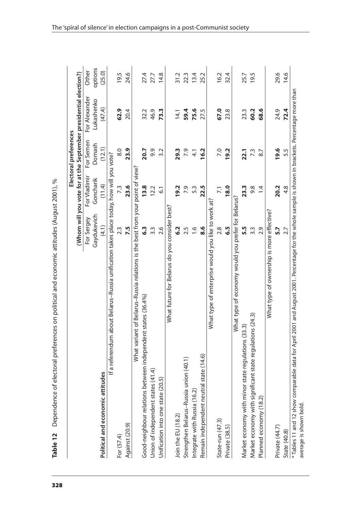|                                                                                        |                  |                  | Electoral preferences |                                                                  |         |
|----------------------------------------------------------------------------------------|------------------|------------------|-----------------------|------------------------------------------------------------------|---------|
|                                                                                        |                  |                  |                       | (Whom will you vote for at the September presidential election?) |         |
|                                                                                        | For Sergey       | For Vladimir     | For Semen             | For Alexander                                                    | Other   |
|                                                                                        | Gaydukevich      | Goncharik        | Domash                | Lukashenko                                                       | options |
| Political and economic attitudes                                                       | (4.1)            | (11.4)           | (12.1)                | (47.4)                                                           | (25.0)  |
| If a referendum about Belarus-Russia unification takes place today, how will you vote? |                  |                  |                       |                                                                  |         |
| For (57.4)                                                                             | 2.3              | 7.3              | 8.0                   | 62.9                                                             | 19.5    |
| Against (20.9)                                                                         | 7.5              | 23.6             | 23.9                  | 20.4                                                             | 24.6    |
| What variant of Belarus-Russia relations is the best from your point of view?          |                  |                  |                       |                                                                  |         |
| Good-neighbour relations between independent states (36.4%)                            | ი<br>ბ           | $\frac{8}{2}$    | 20.7                  | 32.2                                                             | 27.4    |
| Union of independent states (41.4)                                                     | $3.\overline{3}$ | 12.2             | 9.9                   | 46.9                                                             | 27.7    |
| (5.02)<br>Unification into one state (                                                 | 2.6              | $\overline{61}$  | 3.2                   | 73.3                                                             | 14.8    |
| What future for Belarus do you consider best?                                          |                  |                  |                       |                                                                  |         |
| Join the EU (18.2)                                                                     | $\ddot{6}$       | 19.2             | 29.3                  | 14.1                                                             | 31.2    |
| union (40.1)<br>Strengthen Belarus-Russia                                              | 2.5              | 7.9              | 7.9                   | 59.4                                                             | 22.3    |
| Integrate with Russia (16.2)                                                           | $\frac{6}{1}$    | 5.3              | $\overline{4}$        | 75.6                                                             | 13.4    |
| Remain independent neutral state (14.6)                                                | 8.6              | 22.5             | 16.2                  | 27.5                                                             | 25.2    |
| What type of enterprise would you like to work at?                                     |                  |                  |                       |                                                                  |         |
| State-run (47.3)                                                                       | 2.8              | $\overline{7.1}$ | 7.0                   | 67.0                                                             | 16.2    |
| Private (38.5)                                                                         | <b>6.5</b>       | 18.0             | 19.2                  | 23.8                                                             | 32.4    |
| What type of economy would you prefer for Belarus?                                     |                  |                  |                       |                                                                  |         |
| Market economy with minor state regulations (33.3)                                     | 5.5              | 23.3             | 22.1                  | 23.3                                                             | 25.7    |
| Market economy with significant state regulations (24.3)                               | 3.3              | 9.8              | 7.3                   | 60.2                                                             | 19.5    |
| Planned economy (18.2)                                                                 | 2.9              | $\overline{4}$   | 8.7                   | 68.6                                                             |         |
| What type of ownership is more effective?                                              |                  |                  |                       |                                                                  |         |
| Private (44.7)                                                                         | 5.7              | 20.2             | 19.6                  | 24.9                                                             | 29.6    |
| State (40.8)                                                                           | 2.7              | 4.8              | 5.5                   | 72.4                                                             | 14.6    |

Table 12 Dependence of electoral preferences on political and economic attitudes (August 2001), %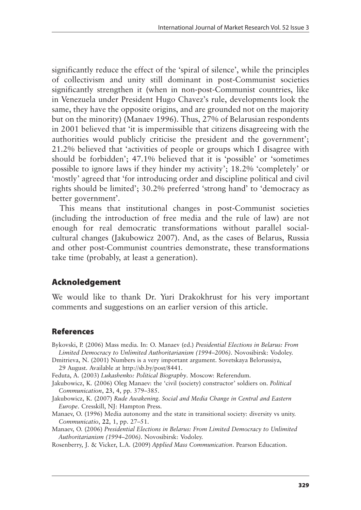significantly reduce the effect of the 'spiral of silence', while the principles of collectivism and unity still dominant in post-Communist societies significantly strengthen it (when in non-post-Communist countries, like in Venezuela under President Hugo Chavez's rule, developments look the same, they have the opposite origins, and are grounded not on the majority but on the minority) (Manaev 1996). Thus, 27% of Belarusian respondents in 2001 believed that 'it is impermissible that citizens disagreeing with the authorities would publicly criticise the president and the government'; 21.2% believed that 'activities of people or groups which I disagree with should be forbidden'; 47.1% believed that it is 'possible' or 'sometimes possible to ignore laws if they hinder my activity'; 18.2% 'completely' or 'mostly' agreed that 'for introducing order and discipline political and civil rights should be limited'; 30.2% preferred 'strong hand' to 'democracy as better government'.

This means that institutional changes in post-Communist societies (including the introduction of free media and the rule of law) are not enough for real democratic transformations without parallel socialcultural changes (Jakubowicz 2007). And, as the cases of Belarus, Russia and other post-Communist countries demonstrate, these transformations take time (probably, at least a generation).

#### Acknoledgement

We would like to thank Dr. Yuri Drakokhrust for his very important comments and suggestions on an earlier version of this article.

#### References

- Bykovski, P. (2006) Mass media. In: O. Manaev (ed.) *Presidential Elections in Belarus: From Limited Democracy to Unlimited Authoritarianism (1994–2006)*. Novosibirsk: Vodoley.
- Dmitrieva, N. (2001) Numbers is a very important argument. Sovetskaya Belorussiya, 29 August. Available at http://sb.by/post/8441.
- Feduta, A. (2003) *Lukashenko: Political Biography*. Moscow: Referendum.
- Jakubowicz, K. (2006) Oleg Manaev: the 'civil (society) constructor' soldiers on. *Political Communication*, **23**, 4, pp. 379–385.
- Jakubowicz, K. (2007) *Rude Awakening. Social and Media Change in Central and Eastern Europe*. Cresskill, NJ: Hampton Press.
- Manaev, O. (1996) Media autonomy and the state in transitional society: diversity vs unity. *Communicatio*, **22**, 1, pp. 27–51.
- Manaev, O. (2006) *Presidential Elections in Belarus: From Limited Democracy to Unlimited Authoritarianism (1994–2006)*. Novosibirsk: Vodoley.
- Rosenberry, J. & Vicker, L.A. (2009) *Applied Mass Communication*. Pearson Education.